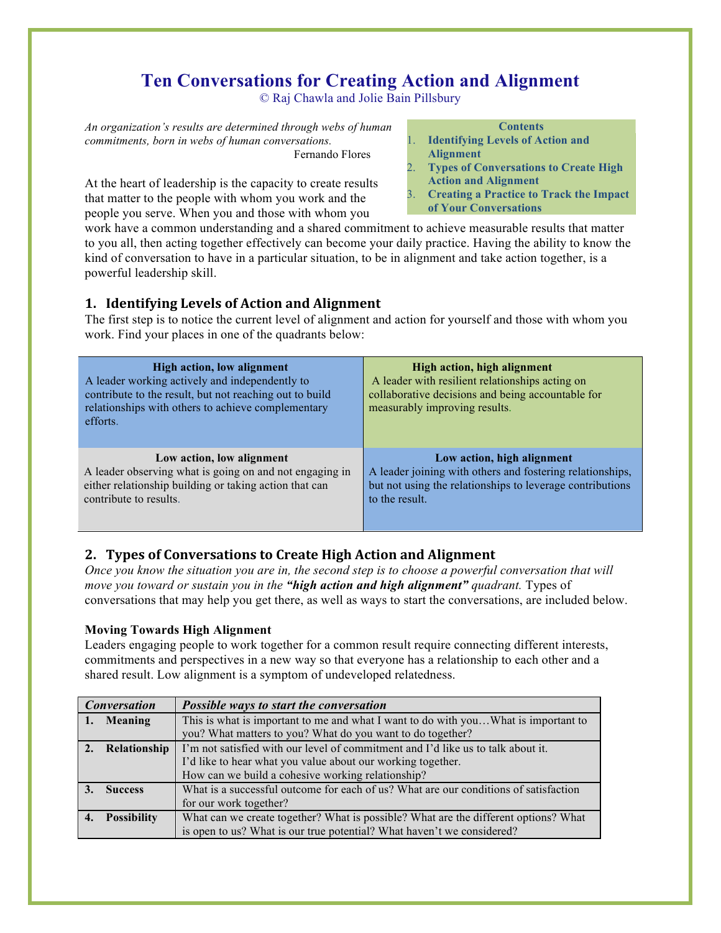# **Ten Conversations for Creating Action and Alignment**

© Raj Chawla and Jolie Bain Pillsbury

*An organization's results are determined through webs of human commitments, born in webs of human conversations.* Fernando Flores

At the heart of leadership is the capacity to create results that matter to the people with whom you work and the people you serve. When you and those with whom you

#### **Contents**

- 1. **Identifying Levels of Action and Alignment**
- 2. **Types of Conversations to Create High Action and Alignment**
- 3. **Creating a Practice to Track the Impact**
- **of Your Conversations**

work have a common understanding and a shared commitment to achieve measurable results that matter to you all, then acting together effectively can become your daily practice. Having the ability to know the kind of conversation to have in a particular situation, to be in alignment and take action together, is a powerful leadership skill.

# **1. Identifying Levels of Action and Alignment**

The first step is to notice the current level of alignment and action for yourself and those with whom you work. Find your places in one of the quadrants below:

| High action, low alignment<br>A leader working actively and independently to<br>contribute to the result, but not reaching out to build<br>relationships with others to achieve complementary<br>efforts. | High action, high alignment<br>A leader with resilient relationships acting on<br>collaborative decisions and being accountable for<br>measurably improving results. |
|-----------------------------------------------------------------------------------------------------------------------------------------------------------------------------------------------------------|----------------------------------------------------------------------------------------------------------------------------------------------------------------------|
| Low action, low alignment                                                                                                                                                                                 | Low action, high alignment                                                                                                                                           |
| A leader observing what is going on and not engaging in                                                                                                                                                   | A leader joining with others and fostering relationships,                                                                                                            |
| either relationship building or taking action that can                                                                                                                                                    | but not using the relationships to leverage contributions                                                                                                            |
| contribute to results.                                                                                                                                                                                    | to the result.                                                                                                                                                       |

# **2. Types of Conversations to Create High Action and Alignment**

*Once you know the situation you are in, the second step is to choose a powerful conversation that will move you toward or sustain you in the "high action and high alignment" quadrant.* Types of conversations that may help you get there, as well as ways to start the conversations, are included below.

# **Moving Towards High Alignment**

Leaders engaging people to work together for a common result require connecting different interests, commitments and perspectives in a new way so that everyone has a relationship to each other and a shared result. Low alignment is a symptom of undeveloped relatedness.

|    | <b>Conversation</b><br>Possible ways to start the conversation |                                                                                      |
|----|----------------------------------------------------------------|--------------------------------------------------------------------------------------|
|    | Meaning                                                        | This is what is important to me and what I want to do with youWhat is important to   |
|    |                                                                | you? What matters to you? What do you want to do together?                           |
|    | Relationship                                                   | I'm not satisfied with our level of commitment and I'd like us to talk about it.     |
|    |                                                                | I'd like to hear what you value about our working together.                          |
|    |                                                                | How can we build a cohesive working relationship?                                    |
|    | <b>Success</b>                                                 | What is a successful outcome for each of us? What are our conditions of satisfaction |
|    |                                                                | for our work together?                                                               |
| 4. | <b>Possibility</b>                                             | What can we create together? What is possible? What are the different options? What  |
|    |                                                                | is open to us? What is our true potential? What haven't we considered?               |